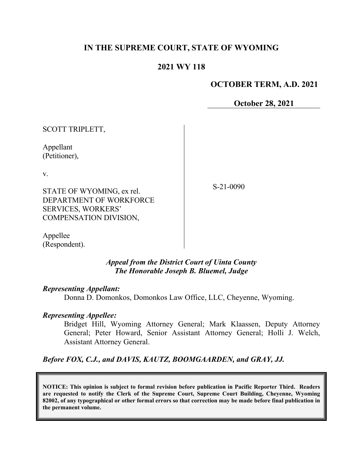# **IN THE SUPREME COURT, STATE OF WYOMING**

## **2021 WY 118**

#### **OCTOBER TERM, A.D. 2021**

**October 28, 2021**

SCOTT TRIPLETT,

Appellant (Petitioner),

v.

S-21-0090

STATE OF WYOMING, ex rel. DEPARTMENT OF WORKFORCE SERVICES, WORKERS' COMPENSATION DIVISION,

Appellee (Respondent).

### *Appeal from the District Court of Uinta County The Honorable Joseph B. Bluemel, Judge*

#### *Representing Appellant:*

Donna D. Domonkos, Domonkos Law Office, LLC, Cheyenne, Wyoming.

## *Representing Appellee:*

Bridget Hill, Wyoming Attorney General; Mark Klaassen, Deputy Attorney General; Peter Howard, Senior Assistant Attorney General; Holli J. Welch, Assistant Attorney General.

*Before FOX, C.J., and DAVIS, KAUTZ, BOOMGAARDEN, and GRAY, JJ.*

**NOTICE: This opinion is subject to formal revision before publication in Pacific Reporter Third. Readers are requested to notify the Clerk of the Supreme Court, Supreme Court Building, Cheyenne, Wyoming 82002, of any typographical or other formal errors so that correction may be made before final publication in the permanent volume.**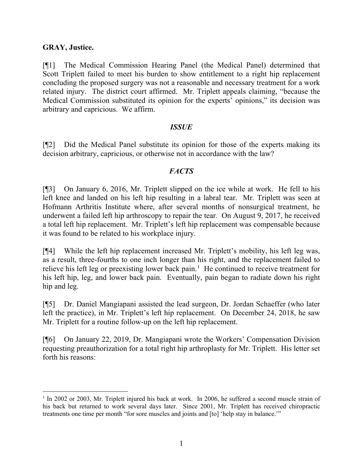### **GRAY, Justice.**

[¶1] The Medical Commission Hearing Panel (the Medical Panel) determined that Scott Triplett failed to meet his burden to show entitlement to a right hip replacement concluding the proposed surgery was not a reasonable and necessary treatment for a work related injury. The district court affirmed. Mr. Triplett appeals claiming, "because the Medical Commission substituted its opinion for the experts' opinions," its decision was arbitrary and capricious. We affirm.

### *ISSUE*

[¶2] Did the Medical Panel substitute its opinion for those of the experts making its decision arbitrary, capricious, or otherwise not in accordance with the law?

### *FACTS*

[¶3] On January 6, 2016, Mr. Triplett slipped on the ice while at work. He fell to his left knee and landed on his left hip resulting in a labral tear. Mr. Triplett was seen at Hofmann Arthritis Institute where, after several months of nonsurgical treatment, he underwent a failed left hip arthroscopy to repair the tear. On August 9, 2017, he received a total left hip replacement. Mr. Triplett's left hip replacement was compensable because it was found to be related to his workplace injury.

[¶4] While the left hip replacement increased Mr. Triplett's mobility, his left leg was, as a result, three-fourths to one inch longer than his right, and the replacement failed to relieve his left leg or preexisting lower back pain.<sup>[1](#page-1-0)</sup> He continued to receive treatment for his left hip, leg, and lower back pain. Eventually, pain began to radiate down his right hip and leg.

[¶5] Dr. Daniel Mangiapani assisted the lead surgeon, Dr. Jordan Schaeffer (who later left the practice), in Mr. Triplett's left hip replacement. On December 24, 2018, he saw Mr. Triplett for a routine follow-up on the left hip replacement.

[¶6] On January 22, 2019, Dr. Mangiapani wrote the Workers' Compensation Division requesting preauthorization for a total right hip arthroplasty for Mr. Triplett. His letter set forth his reasons:

<span id="page-1-0"></span><sup>&</sup>lt;sup>1</sup> In 2002 or 2003, Mr. Triplett injured his back at work. In 2006, he suffered a second muscle strain of his back but returned to work several days later. Since 2001, Mr. Triplett has received chiropractic treatments one time per month "for sore muscles and joints and [to] 'help stay in balance.'"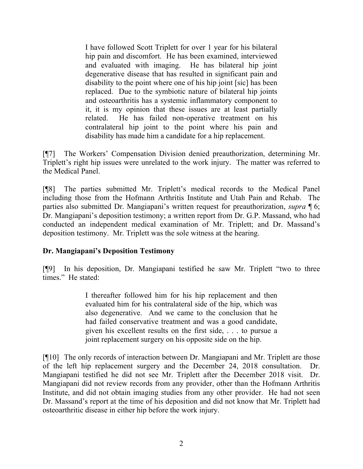I have followed Scott Triplett for over 1 year for his bilateral hip pain and discomfort. He has been examined, interviewed and evaluated with imaging. He has bilateral hip joint degenerative disease that has resulted in significant pain and disability to the point where one of his hip joint [sic] has been replaced. Due to the symbiotic nature of bilateral hip joints and osteoarthritis has a systemic inflammatory component to it, it is my opinion that these issues are at least partially related. He has failed non-operative treatment on his contralateral hip joint to the point where his pain and disability has made him a candidate for a hip replacement.

[¶7] The Workers' Compensation Division denied preauthorization, determining Mr. Triplett's right hip issues were unrelated to the work injury. The matter was referred to the Medical Panel.

[¶8] The parties submitted Mr. Triplett's medical records to the Medical Panel including those from the Hofmann Arthritis Institute and Utah Pain and Rehab. The parties also submitted Dr. Mangiapani's written request for preauthorization, *supra* ¶ 6; Dr. Mangiapani's deposition testimony; a written report from Dr. G.P. Massand, who had conducted an independent medical examination of Mr. Triplett; and Dr. Massand's deposition testimony. Mr. Triplett was the sole witness at the hearing.

## **Dr. Mangiapani's Deposition Testimony**

[¶9] In his deposition, Dr. Mangiapani testified he saw Mr. Triplett "two to three times." He stated:

> I thereafter followed him for his hip replacement and then evaluated him for his contralateral side of the hip, which was also degenerative. And we came to the conclusion that he had failed conservative treatment and was a good candidate, given his excellent results on the first side, . . . to pursue a joint replacement surgery on his opposite side on the hip.

[¶10] The only records of interaction between Dr. Mangiapani and Mr. Triplett are those of the left hip replacement surgery and the December 24, 2018 consultation. Dr. Mangiapani testified he did not see Mr. Triplett after the December 2018 visit. Dr. Mangiapani did not review records from any provider, other than the Hofmann Arthritis Institute, and did not obtain imaging studies from any other provider. He had not seen Dr. Massand's report at the time of his deposition and did not know that Mr. Triplett had osteoarthritic disease in either hip before the work injury.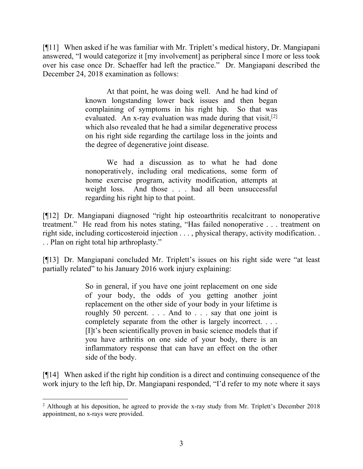[¶11] When asked if he was familiar with Mr. Triplett's medical history, Dr. Mangiapani answered, "I would categorize it [my involvement] as peripheral since I more or less took over his case once Dr. Schaeffer had left the practice." Dr. Mangiapani described the December 24, 2018 examination as follows:

> At that point, he was doing well. And he had kind of known longstanding lower back issues and then began complaining of symptoms in his right hip. So that was evaluated. An x-ray evaluation was made during that visit,  $[2]$  $[2]$  $[2]$ which also revealed that he had a similar degenerative process on his right side regarding the cartilage loss in the joints and the degree of degenerative joint disease.

> We had a discussion as to what he had done nonoperatively, including oral medications, some form of home exercise program, activity modification, attempts at weight loss. And those . . . had all been unsuccessful regarding his right hip to that point.

[¶12] Dr. Mangiapani diagnosed "right hip osteoarthritis recalcitrant to nonoperative treatment." He read from his notes stating, "Has failed nonoperative . . . treatment on right side, including corticosteroid injection . . . , physical therapy, activity modification. . . . Plan on right total hip arthroplasty."

[¶13] Dr. Mangiapani concluded Mr. Triplett's issues on his right side were "at least partially related" to his January 2016 work injury explaining:

> So in general, if you have one joint replacement on one side of your body, the odds of you getting another joint replacement on the other side of your body in your lifetime is roughly 50 percent. . . . And to . . . say that one joint is completely separate from the other is largely incorrect. . . . [I]t's been scientifically proven in basic science models that if you have arthritis on one side of your body, there is an inflammatory response that can have an effect on the other side of the body.

[¶14] When asked if the right hip condition is a direct and continuing consequence of the work injury to the left hip, Dr. Mangiapani responded, "I'd refer to my note where it says

<span id="page-3-0"></span><sup>&</sup>lt;sup>2</sup> Although at his deposition, he agreed to provide the x-ray study from Mr. Triplett's December 2018 appointment, no x-rays were provided.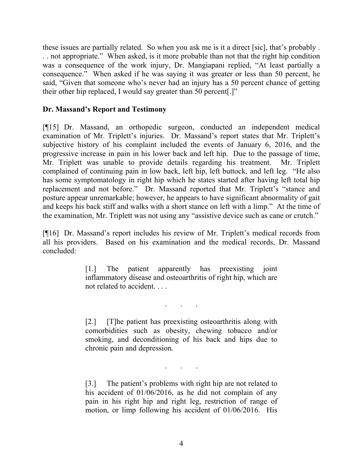these issues are partially related. So when you ask me is it a direct [sic], that's probably . . . not appropriate." When asked, is it more probable than not that the right hip condition was a consequence of the work injury, Dr. Mangiapani replied, "At least partially a consequence." When asked if he was saying it was greater or less than 50 percent, he said, "Given that someone who's never had an injury has a 50 percent chance of getting their other hip replaced, I would say greater than 50 percent[.]"

# **Dr. Massand's Report and Testimony**

[¶15] Dr. Massand, an orthopedic surgeon, conducted an independent medical examination of Mr. Triplett's injuries. Dr. Massand's report states that Mr. Triplett's subjective history of his complaint included the events of January 6, 2016, and the progressive increase in pain in his lower back and left hip. Due to the passage of time, Mr. Triplett was unable to provide details regarding his treatment. Mr. Triplett complained of continuing pain in low back, left hip, left buttock, and left leg. "He also has some symptomatology in right hip which he states started after having left total hip replacement and not before." Dr. Massand reported that Mr. Triplett's "stance and posture appear unremarkable; however, he appears to have significant abnormality of gait and keeps his back stiff and walks with a short stance on left with a limp." At the time of the examination, Mr. Triplett was not using any "assistive device such as cane or crutch."

[¶16] Dr. Massand's report includes his review of Mr. Triplett's medical records from all his providers. Based on his examination and the medical records, Dr. Massand concluded:

> [1.] The patient apparently has preexisting joint inflammatory disease and osteoarthritis of right hip, which are not related to accident. . . .

> [2.] [T]he patient has preexisting osteoarthritis along with comorbidities such as obesity, chewing tobacco and/or smoking, and deconditioning of his back and hips due to chronic pain and depression.

. . .

. . .

[3.] The patient's problems with right hip are not related to his accident of 01/06/2016, as he did not complain of any pain in his right hip and right leg, restriction of range of motion, or limp following his accident of 01/06/2016. His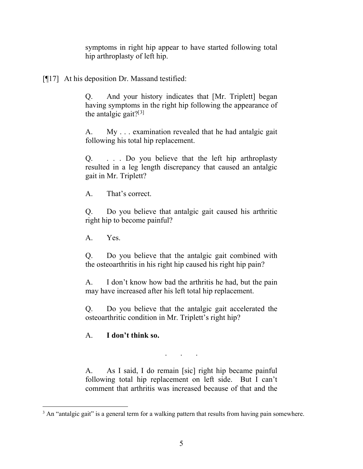symptoms in right hip appear to have started following total hip arthroplasty of left hip.

[¶17] At his deposition Dr. Massand testified:

Q. And your history indicates that [Mr. Triplett] began having symptoms in the right hip following the appearance of the antalgic gait? $[3]$  $[3]$  $[3]$ 

A. My . . . examination revealed that he had antalgic gait following his total hip replacement.

Q. . . . Do you believe that the left hip arthroplasty resulted in a leg length discrepancy that caused an antalgic gait in Mr. Triplett?

A. That's correct.

Q. Do you believe that antalgic gait caused his arthritic right hip to become painful?

A. Yes.

Q. Do you believe that the antalgic gait combined with the osteoarthritis in his right hip caused his right hip pain?

A. I don't know how bad the arthritis he had, but the pain may have increased after his left total hip replacement.

Q. Do you believe that the antalgic gait accelerated the osteoarthritic condition in Mr. Triplett's right hip?

# A. **I don't think so.**

A. As I said, I do remain [sic] right hip became painful following total hip replacement on left side. But I can't comment that arthritis was increased because of that and the

. . .

<span id="page-5-0"></span> $3$  An "antalgic gait" is a general term for a walking pattern that results from having pain somewhere.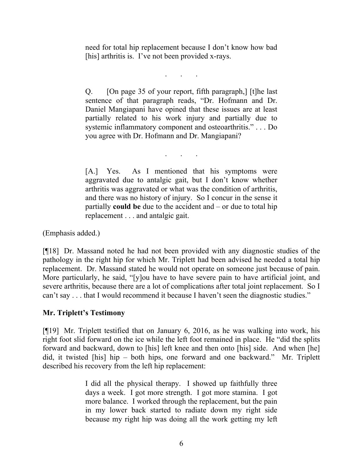need for total hip replacement because I don't know how bad [his] arthritis is. I've not been provided x-rays.

. . .

Q. [On page 35 of your report, fifth paragraph,] [t]he last sentence of that paragraph reads, "Dr. Hofmann and Dr. Daniel Mangiapani have opined that these issues are at least partially related to his work injury and partially due to systemic inflammatory component and osteoarthritis." . . . Do you agree with Dr. Hofmann and Dr. Mangiapani?

. . .

[A.] Yes. As I mentioned that his symptoms were aggravated due to antalgic gait, but I don't know whether arthritis was aggravated or what was the condition of arthritis, and there was no history of injury. So I concur in the sense it partially **could be** due to the accident and – or due to total hip replacement . . . and antalgic gait.

(Emphasis added.)

[¶18] Dr. Massand noted he had not been provided with any diagnostic studies of the pathology in the right hip for which Mr. Triplett had been advised he needed a total hip replacement. Dr. Massand stated he would not operate on someone just because of pain. More particularly, he said, "[y]ou have to have severe pain to have artificial joint, and severe arthritis, because there are a lot of complications after total joint replacement. So I can't say . . . that I would recommend it because I haven't seen the diagnostic studies."

## **Mr. Triplett's Testimony**

[¶19] Mr. Triplett testified that on January 6, 2016, as he was walking into work, his right foot slid forward on the ice while the left foot remained in place. He "did the splits forward and backward, down to [his] left knee and then onto [his] side. And when [he] did, it twisted [his] hip – both hips, one forward and one backward." Mr. Triplett described his recovery from the left hip replacement:

> I did all the physical therapy. I showed up faithfully three days a week. I got more strength. I got more stamina. I got more balance. I worked through the replacement, but the pain in my lower back started to radiate down my right side because my right hip was doing all the work getting my left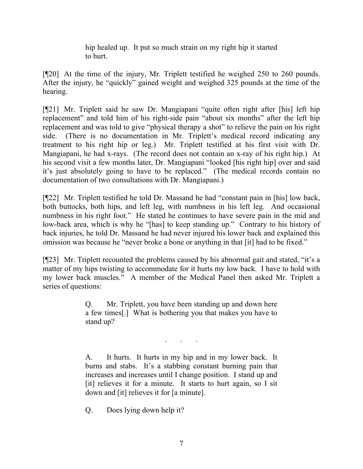hip healed up. It put so much strain on my right hip it started to hurt.

[¶20] At the time of the injury, Mr. Triplett testified he weighed 250 to 260 pounds. After the injury, he "quickly" gained weight and weighed 325 pounds at the time of the hearing.

[¶21] Mr. Triplett said he saw Dr. Mangiapani "quite often right after [his] left hip replacement" and told him of his right-side pain "about six months" after the left hip replacement and was told to give "physical therapy a shot" to relieve the pain on his right side. (There is no documentation in Mr. Triplett's medical record indicating any treatment to his right hip or leg.) Mr. Triplett testified at his first visit with Dr. Mangiapani, he had x-rays. (The record does not contain an x-ray of his right hip.) At his second visit a few months later, Dr. Mangiapani "looked [his right hip] over and said it's just absolutely going to have to be replaced." (The medical records contain no documentation of two consultations with Dr. Mangiapani.)

[¶22] Mr. Triplett testified he told Dr. Massand he had "constant pain in [his] low back, both buttocks, both hips, and left leg, with numbness in his left leg. And occasional numbness in his right foot." He stated he continues to have severe pain in the mid and low-back area, which is why he "[has] to keep standing up." Contrary to his history of back injuries, he told Dr. Massand he had never injured his lower back and explained this omission was because he "never broke a bone or anything in that [it] had to be fixed."

[¶23] Mr. Triplett recounted the problems caused by his abnormal gait and stated, "it's a matter of my hips twisting to accommodate for it hurts my low back. I have to hold with my lower back muscles." A member of the Medical Panel then asked Mr. Triplett a series of questions:

> Q. Mr. Triplett, you have been standing up and down here a few times[.] What is bothering you that makes you have to stand up?

> > . . .

A. It hurts. It hurts in my hip and in my lower back. It burns and stabs. It's a stabbing constant burning pain that increases and increases until I change position. I stand up and [it] relieves it for a minute. It starts to hurt again, so I sit down and [it] relieves it for [a minute].

Q. Does lying down help it?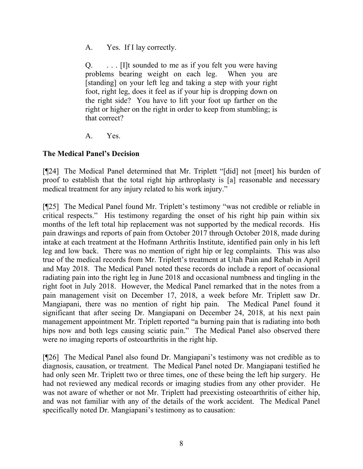A. Yes. If I lay correctly.

Q. . . . [I]t sounded to me as if you felt you were having problems bearing weight on each leg. When you are [standing] on your left leg and taking a step with your right foot, right leg, does it feel as if your hip is dropping down on the right side? You have to lift your foot up farther on the right or higher on the right in order to keep from stumbling; is that correct?

A. Yes.

# **The Medical Panel's Decision**

[¶24] The Medical Panel determined that Mr. Triplett "[did] not [meet] his burden of proof to establish that the total right hip arthroplasty is [a] reasonable and necessary medical treatment for any injury related to his work injury."

[¶25] The Medical Panel found Mr. Triplett's testimony "was not credible or reliable in critical respects." His testimony regarding the onset of his right hip pain within six months of the left total hip replacement was not supported by the medical records. His pain drawings and reports of pain from October 2017 through October 2018, made during intake at each treatment at the Hofmann Arthritis Institute, identified pain only in his left leg and low back. There was no mention of right hip or leg complaints. This was also true of the medical records from Mr. Triplett's treatment at Utah Pain and Rehab in April and May 2018. The Medical Panel noted these records do include a report of occasional radiating pain into the right leg in June 2018 and occasional numbness and tingling in the right foot in July 2018. However, the Medical Panel remarked that in the notes from a pain management visit on December 17, 2018, a week before Mr. Triplett saw Dr. Mangiapani, there was no mention of right hip pain. The Medical Panel found it significant that after seeing Dr. Mangiapani on December 24, 2018, at his next pain management appointment Mr. Triplett reported "a burning pain that is radiating into both hips now and both legs causing sciatic pain." The Medical Panel also observed there were no imaging reports of osteoarthritis in the right hip.

[¶26] The Medical Panel also found Dr. Mangiapani's testimony was not credible as to diagnosis, causation, or treatment. The Medical Panel noted Dr. Mangiapani testified he had only seen Mr. Triplett two or three times, one of these being the left hip surgery. He had not reviewed any medical records or imaging studies from any other provider. He was not aware of whether or not Mr. Triplett had preexisting osteoarthritis of either hip, and was not familiar with any of the details of the work accident. The Medical Panel specifically noted Dr. Mangiapani's testimony as to causation: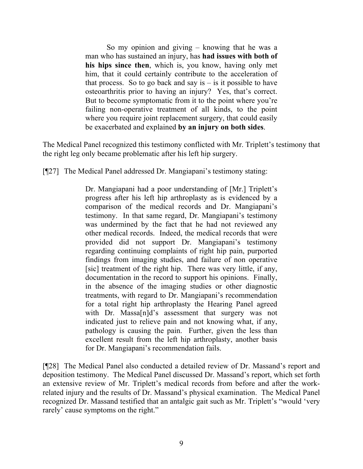So my opinion and giving – knowing that he was a man who has sustained an injury, has **had issues with both of his hips since then**, which is, you know, having only met him, that it could certainly contribute to the acceleration of that process. So to go back and say is  $-$  is it possible to have osteoarthritis prior to having an injury? Yes, that's correct. But to become symptomatic from it to the point where you're failing non-operative treatment of all kinds, to the point where you require joint replacement surgery, that could easily be exacerbated and explained **by an injury on both sides**.

The Medical Panel recognized this testimony conflicted with Mr. Triplett's testimony that the right leg only became problematic after his left hip surgery.

[¶27] The Medical Panel addressed Dr. Mangiapani's testimony stating:

Dr. Mangiapani had a poor understanding of [Mr.] Triplett's progress after his left hip arthroplasty as is evidenced by a comparison of the medical records and Dr. Mangiapani's testimony. In that same regard, Dr. Mangiapani's testimony was undermined by the fact that he had not reviewed any other medical records. Indeed, the medical records that were provided did not support Dr. Mangiapani's testimony regarding continuing complaints of right hip pain, purported findings from imaging studies, and failure of non operative [sic] treatment of the right hip. There was very little, if any, documentation in the record to support his opinions. Finally, in the absence of the imaging studies or other diagnostic treatments, with regard to Dr. Mangiapani's recommendation for a total right hip arthroplasty the Hearing Panel agreed with Dr. Massa[n]d's assessment that surgery was not indicated just to relieve pain and not knowing what, if any, pathology is causing the pain. Further, given the less than excellent result from the left hip arthroplasty, another basis for Dr. Mangiapani's recommendation fails.

[¶28] The Medical Panel also conducted a detailed review of Dr. Massand's report and deposition testimony. The Medical Panel discussed Dr. Massand's report, which set forth an extensive review of Mr. Triplett's medical records from before and after the workrelated injury and the results of Dr. Massand's physical examination. The Medical Panel recognized Dr. Massand testified that an antalgic gait such as Mr. Triplett's "would 'very rarely' cause symptoms on the right."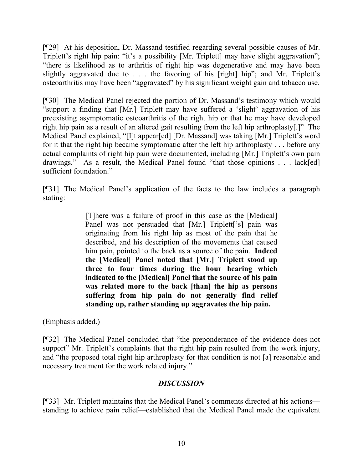[¶29] At his deposition, Dr. Massand testified regarding several possible causes of Mr. Triplett's right hip pain: "it's a possibility [Mr. Triplett] may have slight aggravation"; "there is likelihood as to arthritis of right hip was degenerative and may have been slightly aggravated due to . . . the favoring of his [right] hip"; and Mr. Triplett's osteoarthritis may have been "aggravated" by his significant weight gain and tobacco use.

[¶30] The Medical Panel rejected the portion of Dr. Massand's testimony which would "support a finding that [Mr.] Triplett may have suffered a 'slight' aggravation of his preexisting asymptomatic osteoarthritis of the right hip or that he may have developed right hip pain as a result of an altered gait resulting from the left hip arthroplasty[.]" The Medical Panel explained, "[I]t appear[ed] [Dr. Massand] was taking [Mr.] Triplett's word for it that the right hip became symptomatic after the left hip arthroplasty . . . before any actual complaints of right hip pain were documented, including [Mr.] Triplett's own pain drawings." As a result, the Medical Panel found "that those opinions . . . lack[ed] sufficient foundation."

[¶31] The Medical Panel's application of the facts to the law includes a paragraph stating:

> [T]here was a failure of proof in this case as the [Medical] Panel was not persuaded that [Mr.] Triplett['s] pain was originating from his right hip as most of the pain that he described, and his description of the movements that caused him pain, pointed to the back as a source of the pain. **Indeed the [Medical] Panel noted that [Mr.] Triplett stood up three to four times during the hour hearing which indicated to the [Medical] Panel that the source of his pain was related more to the back [than] the hip as persons suffering from hip pain do not generally find relief standing up, rather standing up aggravates the hip pain.**

(Emphasis added.)

[¶32] The Medical Panel concluded that "the preponderance of the evidence does not support" Mr. Triplett's complaints that the right hip pain resulted from the work injury, and "the proposed total right hip arthroplasty for that condition is not [a] reasonable and necessary treatment for the work related injury."

# *DISCUSSION*

[¶33] Mr. Triplett maintains that the Medical Panel's comments directed at his actions standing to achieve pain relief—established that the Medical Panel made the equivalent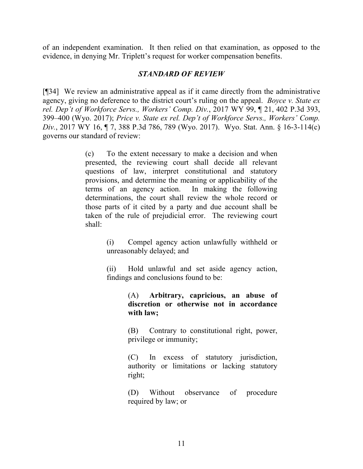of an independent examination. It then relied on that examination, as opposed to the evidence, in denying Mr. Triplett's request for worker compensation benefits.

### *STANDARD OF REVIEW*

[¶34] We review an administrative appeal as if it came directly from the administrative agency, giving no deference to the district court's ruling on the appeal. *Boyce v. State ex rel. Dep't of Workforce Servs., Workers' Comp. Div.*, 2017 WY 99, ¶ 21, 402 P.3d 393, 399–400 (Wyo. 2017); *Price v. State ex rel. Dep't of Workforce Servs., Workers' Comp. Div.*, 2017 WY 16, ¶ 7, 388 P.3d 786, 789 (Wyo. 2017). Wyo. Stat. Ann. § 16-3-114(c) governs our standard of review:

> (c) To the extent necessary to make a decision and when presented, the reviewing court shall decide all relevant questions of law, interpret constitutional and statutory provisions, and determine the meaning or applicability of the terms of an agency action. In making the following determinations, the court shall review the whole record or those parts of it cited by a party and due account shall be taken of the rule of prejudicial error. The reviewing court shall:

> > (i) Compel agency action unlawfully withheld or unreasonably delayed; and

> > (ii) Hold unlawful and set aside agency action, findings and conclusions found to be:

> > > (A) **Arbitrary, capricious, an abuse of discretion or otherwise not in accordance with law;**

> > > (B) Contrary to constitutional right, power, privilege or immunity;

> > > (C) In excess of statutory jurisdiction, authority or limitations or lacking statutory right;

> > > (D) Without observance of procedure required by law; or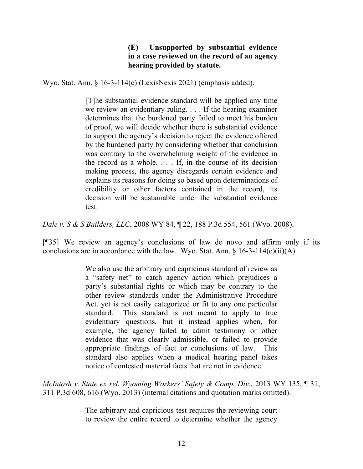## **(E) Unsupported by substantial evidence in a case reviewed on the record of an agency hearing provided by statute.**

Wyo. Stat. Ann. § 16-3-114(c) (LexisNexis 2021) (emphasis added).

[T]he substantial evidence standard will be applied any time we review an evidentiary ruling. . . . If the hearing examiner determines that the burdened party failed to meet his burden of proof, we will decide whether there is substantial evidence to support the agency's decision to reject the evidence offered by the burdened party by considering whether that conclusion was contrary to the overwhelming weight of the evidence in the record as a whole. . . . If, in the course of its decision making process, the agency disregards certain evidence and explains its reasons for doing so based upon determinations of credibility or other factors contained in the record, its decision will be sustainable under the substantial evidence test.

*Dale v. S & S Builders, LLC*, 2008 WY 84, ¶ 22, 188 P.3d 554, 561 (Wyo. 2008).

[¶35] We review an agency's conclusions of law de novo and affirm only if its conclusions are in accordance with the law. Wyo. Stat. Ann.  $\S$  16-3-114(c)(ii)(A).

> We also use the arbitrary and capricious standard of review as a "safety net" to catch agency action which prejudices a party's substantial rights or which may be contrary to the other review standards under the Administrative Procedure Act, yet is not easily categorized or fit to any one particular standard. This standard is not meant to apply to true evidentiary questions, but it instead applies when, for example, the agency failed to admit testimony or other evidence that was clearly admissible, or failed to provide appropriate findings of fact or conclusions of law. This standard also applies when a medical hearing panel takes notice of contested material facts that are not in evidence.

*McIntosh v. State ex rel. Wyoming Workers' Safety & Comp. Div.*, 2013 WY 135, ¶ 31, 311 P.3d 608, 616 (Wyo. 2013) (internal citations and quotation marks omitted).

> The arbitrary and capricious test requires the reviewing court to review the entire record to determine whether the agency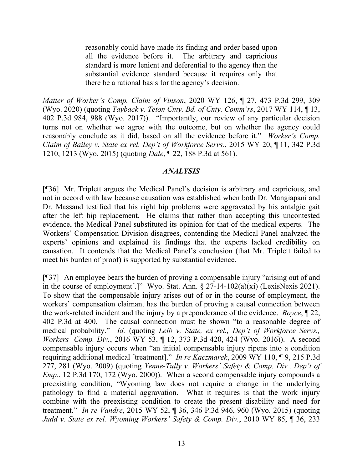reasonably could have made its finding and order based upon all the evidence before it. The arbitrary and capricious standard is more lenient and deferential to the agency than the substantial evidence standard because it requires only that there be a rational basis for the agency's decision.

*Matter of Worker's Comp. Claim of Vinson*, 2020 WY 126, ¶ 27, 473 P.3d 299, 309 (Wyo. 2020) (quoting *Tayback v. Teton Cnty. Bd. of Cnty. Comm'rs*, 2017 WY 114, ¶ 13, 402 P.3d 984, 988 (Wyo. 2017)). "Importantly, our review of any particular decision turns not on whether we agree with the outcome, but on whether the agency could reasonably conclude as it did, based on all the evidence before it." *Worker's Comp. Claim of Bailey v. State ex rel. Dep't of Workforce Servs.*, 2015 WY 20, ¶ 11, 342 P.3d 1210, 1213 (Wyo. 2015) (quoting *Dale*, ¶ 22, 188 P.3d at 561).

### *ANALYSIS*

[¶36] Mr. Triplett argues the Medical Panel's decision is arbitrary and capricious, and not in accord with law because causation was established when both Dr. Mangiapani and Dr. Massand testified that his right hip problems were aggravated by his antalgic gait after the left hip replacement. He claims that rather than accepting this uncontested evidence, the Medical Panel substituted its opinion for that of the medical experts. The Workers' Compensation Division disagrees, contending the Medical Panel analyzed the experts' opinions and explained its findings that the experts lacked credibility on causation. It contends that the Medical Panel's conclusion (that Mr. Triplett failed to meet his burden of proof) is supported by substantial evidence.

[¶37] An employee bears the burden of proving a compensable injury "arising out of and in the course of employment[.]" Wyo. Stat. Ann.  $\S 27-14-102(a)(xi)$  (LexisNexis 2021). To show that the compensable injury arises out of or in the course of employment, the workers' compensation claimant has the burden of proving a causal connection between the work-related incident and the injury by a preponderance of the evidence. *Boyce*, ¶ 22, 402 P.3d at 400. The causal connection must be shown "to a reasonable degree of medical probability." *Id.* (quoting *Leib v. State, ex rel., Dep't of Workforce Servs., Workers' Comp. Div.*, 2016 WY 53, ¶ 12, 373 P.3d 420, 424 (Wyo. 2016)). A second compensable injury occurs when "an initial compensable injury ripens into a condition requiring additional medical [treatment]." *In re Kaczmarek*, 2009 WY 110, ¶ 9, 215 P.3d 277, 281 (Wyo. 2009) (quoting *Yenne-Tully v. Workers' Safety & Comp. Div., Dep't of Emp.*, 12 P.3d 170, 172 (Wyo. 2000)). When a second compensable injury compounds a preexisting condition, "Wyoming law does not require a change in the underlying pathology to find a material aggravation. What it requires is that the work injury combine with the preexisting condition to create the present disability and need for treatment." *In re Vandre*, 2015 WY 52, ¶ 36, 346 P.3d 946, 960 (Wyo. 2015) (quoting *Judd v. State ex rel. Wyoming Workers' Safety & Comp. Div.*, 2010 WY 85, ¶ 36, 233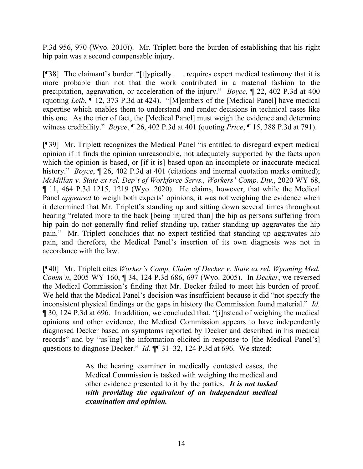P.3d 956, 970 (Wyo. 2010)). Mr. Triplett bore the burden of establishing that his right hip pain was a second compensable injury.

[¶38] The claimant's burden "[t]ypically . . . requires expert medical testimony that it is more probable than not that the work contributed in a material fashion to the precipitation, aggravation, or acceleration of the injury." *Boyce*, ¶ 22, 402 P.3d at 400 (quoting *Leib*, ¶ 12, 373 P.3d at 424). "[M]embers of the [Medical Panel] have medical expertise which enables them to understand and render decisions in technical cases like this one. As the trier of fact, the [Medical Panel] must weigh the evidence and determine witness credibility." *Boyce*, ¶ 26, 402 P.3d at 401 (quoting *Price*, ¶ 15, 388 P.3d at 791).

[¶39] Mr. Triplett recognizes the Medical Panel "is entitled to disregard expert medical opinion if it finds the opinion unreasonable, not adequately supported by the facts upon which the opinion is based, or [if it is] based upon an incomplete or inaccurate medical history." *Boyce*, ¶ 26, 402 P.3d at 401 (citations and internal quotation marks omitted); *McMillan v. State ex rel. Dep't of Workforce Servs., Workers' Comp. Div.*, 2020 WY 68, ¶ 11, 464 P.3d 1215, 1219 (Wyo. 2020). He claims, however, that while the Medical Panel *appeared* to weigh both experts' opinions, it was not weighing the evidence when it determined that Mr. Triplett's standing up and sitting down several times throughout hearing "related more to the back [being injured than] the hip as persons suffering from hip pain do not generally find relief standing up, rather standing up aggravates the hip pain." Mr. Triplett concludes that no expert testified that standing up aggravates hip pain, and therefore, the Medical Panel's insertion of its own diagnosis was not in accordance with the law.

[¶40] Mr. Triplett cites *Worker's Comp. Claim of Decker v. State ex rel. Wyoming Med. Comm'n*, 2005 WY 160, ¶ 34, 124 P.3d 686, 697 (Wyo. 2005). In *Decker*, we reversed the Medical Commission's finding that Mr. Decker failed to meet his burden of proof. We held that the Medical Panel's decision was insufficient because it did "not specify the inconsistent physical findings or the gaps in history the Commission found material." *Id.* ¶ 30, 124 P.3d at 696. In addition, we concluded that, "[i]nstead of weighing the medical opinions and other evidence, the Medical Commission appears to have independently diagnosed Decker based on symptoms reported by Decker and described in his medical records" and by "us[ing] the information elicited in response to [the Medical Panel's] questions to diagnose Decker." *Id.*  $\P$  31–32, 124 P.3d at 696. We stated:

> As the hearing examiner in medically contested cases, the Medical Commission is tasked with weighing the medical and other evidence presented to it by the parties. *It is not tasked with providing the equivalent of an independent medical examination and opinion.*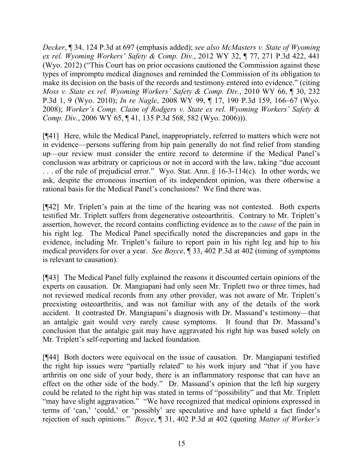*Decker*, ¶ 34, 124 P.3d at 697 (emphasis added); *see also McMasters v. State of Wyoming ex rel. Wyoming Workers' Safety & Comp. Div.*, 2012 WY 32, ¶ 77, 271 P.3d 422, 441 (Wyo. 2012) ("This Court has on prior occasions cautioned the Commission against these types of impromptu medical diagnoses and reminded the Commission of its obligation to make its decision on the basis of the records and testimony entered into evidence." (citing *Moss v. State ex rel. Wyoming Workers' Safety & Comp. Div.*, 2010 WY 66, ¶ 30, 232 P.3d 1, 9 (Wyo. 2010); *In re Nagle*, 2008 WY 99, ¶ 17, 190 P.3d 159, 166–67 (Wyo. 2008); *Worker's Comp. Claim of Rodgers v. State ex rel. Wyoming Workers' Safety & Comp. Div.*, 2006 WY 65, ¶ 41, 135 P.3d 568, 582 (Wyo. 2006))).

[¶41] Here, while the Medical Panel, inappropriately, referred to matters which were not in evidence—persons suffering from hip pain generally do not find relief from standing up—our review must consider the entire record to determine if the Medical Panel's conclusion was arbitrary or capricious or not in accord with the law, taking "due account . . . of the rule of prejudicial error." Wyo. Stat. Ann. § 16-3-114(c). In other words, we ask, despite the erroneous insertion of its independent opinion, was there otherwise a rational basis for the Medical Panel's conclusions? We find there was.

[¶42] Mr. Triplett's pain at the time of the hearing was not contested. Both experts testified Mr. Triplett suffers from degenerative osteoarthritis. Contrary to Mr. Triplett's assertion, however, the record contains conflicting evidence as to the *cause* of the pain in his right leg. The Medical Panel specifically noted the discrepancies and gaps in the evidence, including Mr. Triplett's failure to report pain in his right leg and hip to his medical providers for over a year. *See Boyce*, ¶ 33, 402 P.3d at 402 (timing of symptoms is relevant to causation).

[¶43] The Medical Panel fully explained the reasons it discounted certain opinions of the experts on causation. Dr. Mangiapani had only seen Mr. Triplett two or three times, had not reviewed medical records from any other provider, was not aware of Mr. Triplett's preexisting osteoarthritis, and was not familiar with any of the details of the work accident. It contrasted Dr. Mangiapani's diagnosis with Dr. Massand's testimony—that an antalgic gait would very rarely cause symptoms. It found that Dr. Massand's conclusion that the antalgic gait may have aggravated his right hip was based solely on Mr. Triplett's self-reporting and lacked foundation.

[¶44] Both doctors were equivocal on the issue of causation. Dr. Mangiapani testified the right hip issues were "partially related" to his work injury and "that if you have arthritis on one side of your body, there is an inflammatory response that can have an effect on the other side of the body." Dr. Massand's opinion that the left hip surgery could be related to the right hip was stated in terms of "possibility" and that Mr. Triplett "may have slight aggravation." "We have recognized that medical opinions expressed in terms of 'can,' 'could,' or 'possibly' are speculative and have upheld a fact finder's rejection of such opinions." *Boyce*, ¶ 31, 402 P.3d at 402 (quoting *Matter of Worker's*